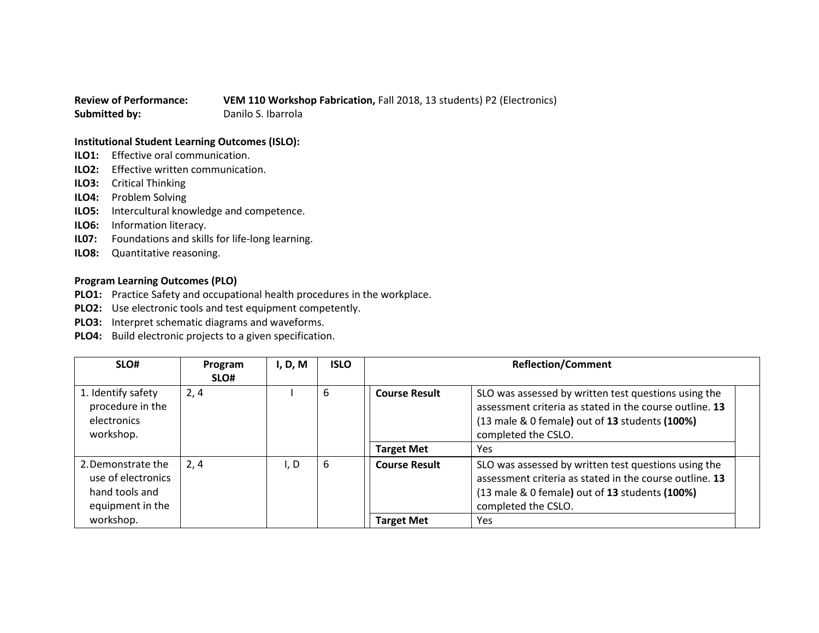## **Review of Performance: VEM 110 Workshop Fabrication,** Fall 2018, 13 students) P2 (Electronics) **Submitted by:** Danilo S. Ibarrola

## **Institutional Student Learning Outcomes (ISLO):**

- **ILO1:** Effective oral communication.
- **ILO2:** Effective written communication.
- **ILO3:** Critical Thinking
- **ILO4:** Problem Solving
- **ILO5:** Intercultural knowledge and competence.
- **ILO6:** Information literacy.
- **IL07:** Foundations and skills for life-long learning.
- **ILO8:** Quantitative reasoning.

## **Program Learning Outcomes (PLO)**

- **PLO1:** Practice Safety and occupational health procedures in the workplace.
- **PLO2:** Use electronic tools and test equipment competently.
- **PLO3:** Interpret schematic diagrams and waveforms.
- **PLO4:** Build electronic projects to a given specification.

| SLO#                                                                           | Program<br>SLO# | I, D, M | <b>ISLO</b> | <b>Reflection/Comment</b> |                                                                                                                                                                                          |
|--------------------------------------------------------------------------------|-----------------|---------|-------------|---------------------------|------------------------------------------------------------------------------------------------------------------------------------------------------------------------------------------|
| 1. Identify safety<br>procedure in the<br>electronics<br>workshop.             | 2,4             |         | 6           | <b>Course Result</b>      | SLO was assessed by written test questions using the<br>assessment criteria as stated in the course outline. 13<br>(13 male & 0 female) out of 13 students (100%)<br>completed the CSLO. |
|                                                                                |                 |         |             | <b>Target Met</b>         | <b>Yes</b>                                                                                                                                                                               |
| 2. Demonstrate the<br>use of electronics<br>hand tools and<br>equipment in the | 2, 4            | I, D    | 6           | <b>Course Result</b>      | SLO was assessed by written test questions using the<br>assessment criteria as stated in the course outline. 13<br>(13 male & 0 female) out of 13 students (100%)<br>completed the CSLO. |
| workshop.                                                                      |                 |         |             | <b>Target Met</b>         | Yes                                                                                                                                                                                      |